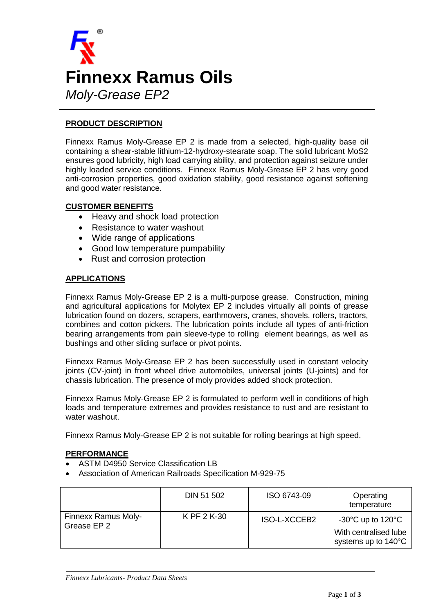

## **PRODUCT DESCRIPTION**

Finnexx Ramus Moly-Grease EP 2 is made from a selected, high-quality base oil containing a shear-stable lithium-12-hydroxy-stearate soap. The solid lubricant MoS2 ensures good lubricity, high load carrying ability, and protection against seizure under highly loaded service conditions. Finnexx Ramus Moly-Grease EP 2 has very good anti-corrosion properties, good oxidation stability, good resistance against softening and good water resistance.

### **CUSTOMER BENEFITS**

- Heavy and shock load protection
- Resistance to water washout
- Wide range of applications
- Good low temperature pumpability
- Rust and corrosion protection

#### **APPLICATIONS**

Finnexx Ramus Moly-Grease EP 2 is a multi-purpose grease. Construction, mining and agricultural applications for Molytex EP 2 includes virtually all points of grease lubrication found on dozers, scrapers, earthmovers, cranes, shovels, rollers, tractors, combines and cotton pickers. The lubrication points include all types of anti-friction bearing arrangements from pain sleeve-type to rolling element bearings, as well as bushings and other sliding surface or pivot points.

Finnexx Ramus Moly-Grease EP 2 has been successfully used in constant velocity joints (CV-joint) in front wheel drive automobiles, universal joints (U-joints) and for chassis lubrication. The presence of moly provides added shock protection.

Finnexx Ramus Moly-Grease EP 2 is formulated to perform well in conditions of high loads and temperature extremes and provides resistance to rust and are resistant to water washout.

Finnexx Ramus Moly-Grease EP 2 is not suitable for rolling bearings at high speed.

#### **PERFORMANCE**

- ASTM D4950 Service Classification LB
- Association of American Railroads Specification M-929-75

|                                    | DIN 51 502  | ISO 6743-09  | Operating<br>temperature                                                               |
|------------------------------------|-------------|--------------|----------------------------------------------------------------------------------------|
| Finnexx Ramus Moly-<br>Grease EP 2 | K PF 2 K-30 | ISO-L-XCCEB2 | $-30^{\circ}$ C up to 120 $^{\circ}$ C<br>With centralised lube<br>systems up to 140°C |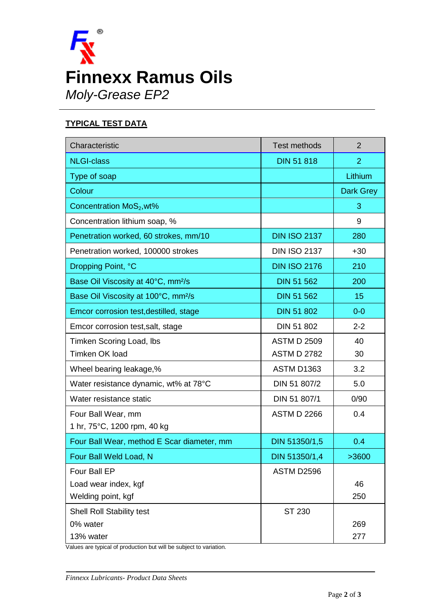

# **TYPICAL TEST DATA**

| Characteristic                                  | <b>Test methods</b> | $\overline{2}$   |
|-------------------------------------------------|---------------------|------------------|
| <b>NLGI-class</b>                               | <b>DIN 51 818</b>   | $\overline{2}$   |
| Type of soap                                    |                     | Lithium          |
| Colour                                          |                     | <b>Dark Grey</b> |
| Concentration MoS <sub>2</sub> , wt%            |                     | 3                |
| Concentration lithium soap, %                   |                     | 9                |
| Penetration worked, 60 strokes, mm/10           | <b>DIN ISO 2137</b> | 280              |
| Penetration worked, 100000 strokes              | <b>DIN ISO 2137</b> | $+30$            |
| Dropping Point, °C                              | <b>DIN ISO 2176</b> | 210              |
| Base Oil Viscosity at 40°C, mm <sup>2</sup> /s  | <b>DIN 51 562</b>   | 200              |
| Base Oil Viscosity at 100°C, mm <sup>2</sup> /s | <b>DIN 51 562</b>   | 15               |
| Emcor corrosion test, destilled, stage          | <b>DIN 51 802</b>   | $0-0$            |
| Emcor corrosion test, salt, stage               | DIN 51 802          | $2 - 2$          |
| <b>Timken Scoring Load, Ibs</b>                 | <b>ASTM D 2509</b>  | 40               |
| Timken OK load                                  | <b>ASTM D 2782</b>  | 30               |
| Wheel bearing leakage,%                         | ASTM D1363          | 3.2              |
| Water resistance dynamic, wt% at 78°C           | DIN 51 807/2        | 5.0              |
| Water resistance static                         | DIN 51 807/1        | 0/90             |
| Four Ball Wear, mm                              | <b>ASTM D 2266</b>  | 0.4              |
| 1 hr, 75°C, 1200 rpm, 40 kg                     |                     |                  |
| Four Ball Wear, method E Scar diameter, mm      | DIN 51350/1,5       | 0.4              |
| Four Ball Weld Load, N                          | DIN 51350/1,4       | >3600            |
| Four Ball EP                                    | ASTM D2596          |                  |
| Load wear index, kgf                            |                     | 46               |
| Welding point, kgf                              |                     | 250              |
| Shell Roll Stability test                       | ST 230              |                  |
| 0% water                                        |                     | 269              |
| 13% water                                       |                     | 277              |

Values are typical of production but will be subject to variation.